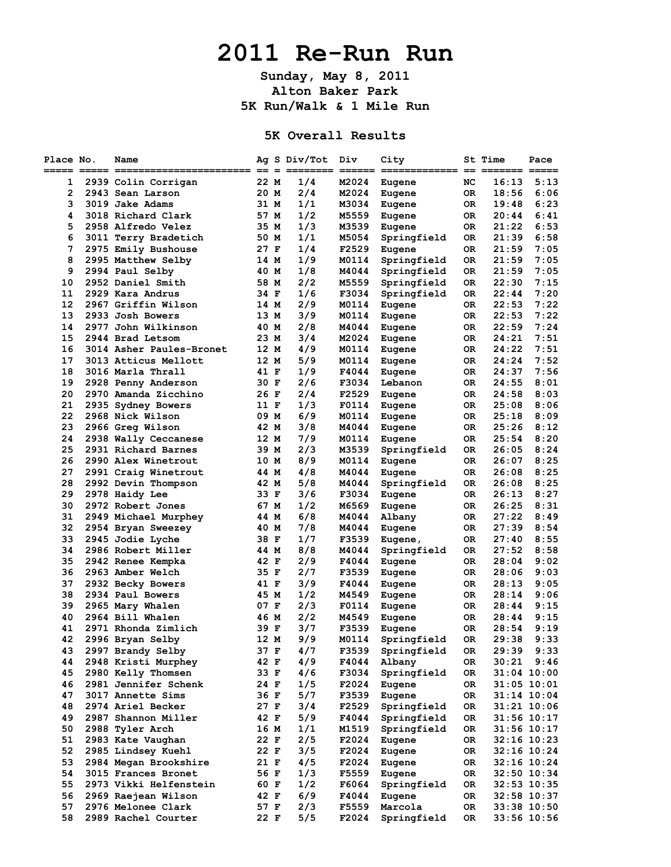## **2011 Re-Run Run**

**Sunday, May 8, 2011 Alton Baker Park 5K Run/Walk & 1 Mile Run**

**5K Overall Results**

| Place No. | Name                     |      | Ag S Div/Tot | Div   | City        |      | St Time | Pace            |
|-----------|--------------------------|------|--------------|-------|-------------|------|---------|-----------------|
|           |                          |      |              |       |             | $==$ |         |                 |
| 1         | 2939 Colin Corrigan      | 22 M | 1/4          | M2024 | Eugene      | NC   | 16:13   | 5:13            |
| 2         | 2943 Sean Larson         | 20 M | 2/4          | M2024 | Eugene      | 0R   | 18:56   | 6:06            |
| 3         | 3019 Jake Adams          | 31 M | 1/1          | M3034 | Eugene      | 0R   | 19:48   | 6:23            |
| 4         | 3018 Richard Clark       | 57 M | 1/2          | M5559 | Eugene      | OR.  | 20:44   | 6:41            |
| 5         | 2958 Alfredo Velez       | 35 M | 1/3          | M3539 | Eugene      | OR   | 21:22   | 6:53            |
| 6         | 3011 Terry Bradetich     | 50 M | 1/1          | M5054 | Springfield | OR   | 21:39   | 6:58            |
| 7         | 2975 Emily Bushouse      | 27 F | 1/4          | F2529 | Eugene      | 0R   | 21:59   | 7:05            |
| 8         | 2995 Matthew Selby       | 14 M | 1/9          | M0114 |             | 0R   | 21:59   | 7:05            |
| 9         |                          |      | 1/8          |       | Springfield |      |         |                 |
|           | 2994 Paul Selby          | 40 M |              | M4044 | Springfield | OR   | 21:59   | 7:05            |
| 10        | 2952 Daniel Smith        | 58 M | 2/2          | M5559 | Springfield | 0R   | 22:30   | 7:15            |
| 11        | 2929 Kara Andrus         | 34 F | 1/6          | F3034 | Springfield | 0R   | 22:44   | 7:20            |
| 12        | 2967 Griffin Wilson      | 14 M | 2/9          | M0114 | Eugene      | OR   | 22:53   | 7:22            |
| 13        | 2933 Josh Bowers         | 13 M | 3/9          | M0114 | Eugene      | 0R   | 22:53   | 7:22            |
| 14        | 2977 John Wilkinson      | 40 M | 2/8          | M4044 | Eugene      | OR   | 22:59   | 7:24            |
| 15        | 2944 Brad Letsom         | 23 M | 3/4          | M2024 | Eugene      | OR   | 24:21   | 7:51            |
| 16        | 3014 Asher Paules-Bronet | 12 M | 4/9          | M0114 | Eugene      | OR   | 24:22   | 7:51            |
| 17        | 3013 Atticus Mellott     | 12 M | 5/9          | M0114 | Eugene      | OR.  | 24:24   | 7:52            |
| 18        | 3016 Marla Thrall        | 41 F | 1/9          | F4044 | Eugene      | OR.  | 24:37   | 7:56            |
| 19        | 2928 Penny Anderson      | 30 F | 2/6          | F3034 | Lebanon     | OR.  | 24:55   | 8:01            |
| 20        | 2970 Amanda Zicchino     | 26 F | 2/4          | F2529 | Eugene      | 0R   | 24:58   | 8:03            |
| 21        | 2935 Sydney Bowers       | 11 F | 1/3          | F0114 | Eugene      | 0R   | 25:08   | 8:06            |
| 22        | 2968 Nick Wilson         | 09 M | 6/9          | M0114 | Eugene      | OR.  | 25:18   | 8:09            |
| 23        | 2966 Greg Wilson         | 42 M | 3/8          | M4044 | Eugene      | OR.  | 25:26   | 8:12            |
| 24        | 2938 Wally Ceccanese     | 12 M | 7/9          | M0114 | Eugene      | OR.  | 25:54   | 8:20            |
| 25        | 2931 Richard Barnes      | 39 M | 2/3          | M3539 |             | OR.  | 26:05   | 8:24            |
|           |                          |      |              |       | Springfield |      |         |                 |
| 26        | 2990 Alex Winetrout      | 10 M | 8/9          | M0114 | Eugene      | OR   | 26:07   | 8:25            |
| 27        | 2991 Craig Winetrout     | 44 M | 4/8          | M4044 | Eugene      | 0R   | 26:08   | 8:25            |
| 28        | 2992 Devin Thompson      | 42 M | 5/8          | M4044 | Springfield | 0R   | 26:08   | 8:25            |
| 29        | 2978 Haidy Lee           | 33 F | 3/6          | F3034 | Eugene      | OR.  | 26:13   | 8:27            |
| 30        | 2972 Robert Jones        | 67 M | 1/2          | M6569 | Eugene      | 0R   | 26:25   | 8:31            |
| 31        | 2949 Michael Murphey     | 44 M | 6/8          | M4044 | Albany      | OR   | 27:22   | 8:49            |
| 32        | 2954 Bryan Sweezey       | 40 M | 7/8          | M4044 | Eugene      | OR.  | 27:39   | 8:54            |
| 33        | 2945 Jodie Lyche         | 38 F | 1/7          | F3539 | Eugene,     | 0R   | 27:40   | 8:55            |
| 34        | 2986 Robert Miller       | 44 M | 8/8          | M4044 | Springfield | 0R   | 27:52   | 8:58            |
| 35        | 2942 Renee Kempka        | 42 F | 2/9          | F4044 | Eugene      | OR   | 28:04   | 9:02            |
| 36        | 2963 Amber Welch         | 35 F | 2/7          | F3539 | Eugene      | OR.  | 28:06   | 9:03            |
| 37        | 2932 Becky Bowers        | 41 F | 3/9          | F4044 | Eugene      | OR.  | 28:13   | 9:05            |
| 38        | 2934 Paul Bowers         | 45 M | 1/2          | M4549 | Eugene      | OR.  | 28:14   | 9:06            |
| 39        | 2965 Mary Whalen         | 07 F | 2/3          | F0114 | Eugene      | OR.  | 28:44   | 9:15            |
| 40        | 2964 Bill Whalen         | 46 M | 2/2          | M4549 | Eugene      | 0R   | 28:44   | 9:15            |
| 41        | 2971 Rhonda Zimlich      | 39 F | 3/7          | F3539 | Eugene      | 0R   | 28:54   | 9:19            |
| 42        | 2996 Bryan Selby         | 12 M | 9/9          | M0114 | Springfield | 0R   | 29:38   | 9:33            |
|           |                          |      |              |       |             |      |         |                 |
| 43        | 2997 Brandy Selby        | 37 F | 4/7          | F3539 | Springfield | 0R   | 29:39   | 9:33            |
| 44        | 2948 Kristi Murphey      | 42 F | 4/9          | F4044 | Albany      | OR   | 30:21   | 9:46            |
| 45        | 2980 Kelly Thomsen       | 33 F | 4/6          | F3034 | Springfield | OR   |         | $31:04$ $10:00$ |
| 46        | 2981 Jennifer Schenk     | 24 F | 1/5          | F2024 | Eugene      | OR   |         | $31:05$ $10:01$ |
| 47        | 3017 Annette Sims        | 36 F | 5/7          | F3539 | Eugene      | OR   |         | 31:14 10:04     |
| 48        | 2974 Ariel Becker        | 27 F | 3/4          | F2529 | Springfield | OR   |         | 31:21 10:06     |
| 49        | 2987 Shannon Miller      | 42 F | 5/9          | F4044 | Springfield | OR   |         | 31:56 10:17     |
| 50        | 2988 Tyler Arch          | 16 M | 1/1          | M1519 | Springfield | OR   |         | $31:56$ $10:17$ |
| 51        | 2983 Kate Vaughan        | 22 F | 2/5          | F2024 | Eugene      | OR   |         | $32:16$ $10:23$ |
| 52        | 2985 Lindsey Kuehl       | 22 F | 3/5          | F2024 | Eugene      | OR.  |         | 32:16 10:24     |
| 53        | 2984 Megan Brookshire    | 21 F | 4/5          | F2024 | Eugene      | OR   |         | $32:16$ $10:24$ |
| 54        | 3015 Frances Bronet      | 56 F | 1/3          | F5559 | Eugene      | OR   |         | 32:50 10:34     |
| 55        | 2973 Vikki Helfenstein   | 60 F | 1/2          | F6064 | Springfield | OR   |         | $32:53$ $10:35$ |
| 56        | 2969 Raejean Wilson      | 42 F | 6/9          | F4044 | Eugene      | OR   |         | $32:58$ $10:37$ |
| 57        | 2976 Melonee Clark       | 57 F | 2/3          | F5559 | Marcola     | OR   |         | 33:38 10:50     |
| 58        | 2989 Rachel Courter      |      | 5/5          |       |             |      |         |                 |
|           |                          | 22 F |              | F2024 | Springfield | OR   |         | 33:56 10:56     |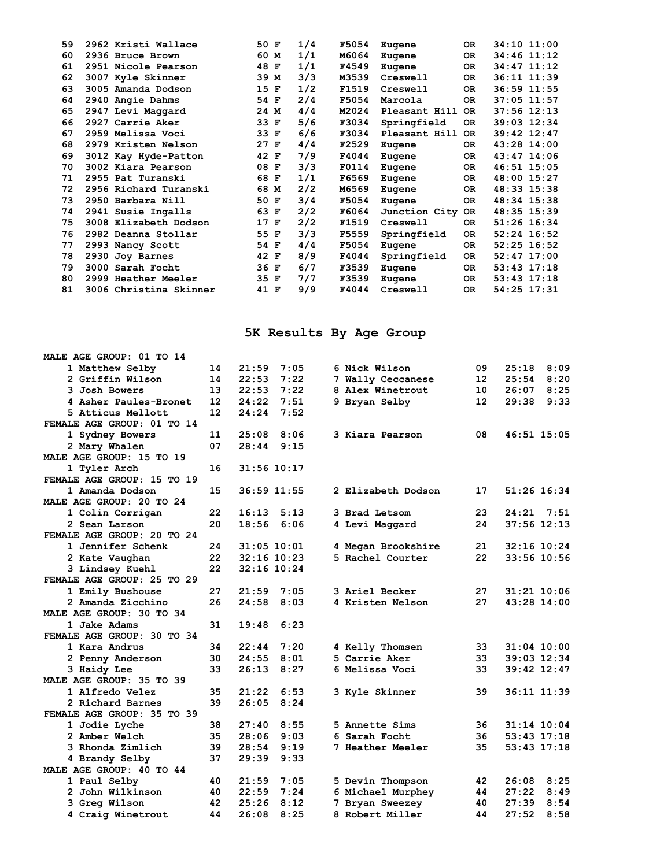| 59 | 2962 Kristi Wallace    | 50 F | 1/4 | F5054 | Eugene        | 0R        | 34:10 11:00     |  |
|----|------------------------|------|-----|-------|---------------|-----------|-----------------|--|
| 60 | 2936 Bruce Brown       | 60 M | 1/1 | M6064 | Eugene        | OR.       | 34:46 11:12     |  |
| 61 | 2951 Nicole Pearson    | 48 F | 1/1 | F4549 | Eugene        | OR.       | 34:47 11:12     |  |
| 62 | 3007 Kyle Skinner      | 39 M | 3/3 | M3539 | Creswell      | OR.       | 36:11 11:39     |  |
| 63 | 3005 Amanda Dodson     | 15 F | 1/2 | F1519 | Creswell      | 0R        | 36:59 11:55     |  |
| 64 | 2940 Angie Dahms       | 54 F | 2/4 | F5054 | Marcola       | OR.       | 37:05 11:57     |  |
| 65 | 2947 Levi Maggard      | 24 M | 4/4 | M2024 | Pleasant Hill | <b>OR</b> | $37:56$ $12:13$ |  |
| 66 | 2927 Carrie Aker       | 33 F | 5/6 | F3034 | Springfield   | OR.       | 39:03 12:34     |  |
| 67 | 2959 Melissa Voci      | 33 F | 6/6 | F3034 | Pleasant Hill | OR.       | $39:42$ $12:47$ |  |
| 68 | 2979 Kristen Nelson    | 27 F | 4/4 | F2529 | Eugene        | OR.       | 43:28 14:00     |  |
| 69 | 3012 Kay Hyde-Patton   | 42 F | 7/9 | F4044 | Eugene        | OR.       | 43:47 14:06     |  |
| 70 | 3002 Kiara Pearson     | 08 F | 3/3 | F0114 | Eugene        | OR.       | 46:51 15:05     |  |
| 71 | 2955 Pat Turanski      | 68 F | 1/1 | F6569 | Eugene        | OR.       | 48:00 15:27     |  |
| 72 | 2956 Richard Turanski  | 68 M | 2/2 | M6569 | Eugene        | OR.       | 48:33 15:38     |  |
| 73 | 2950 Barbara Nill      | 50 F | 3/4 | F5054 | Eugene        | OR.       | 48:34 15:38     |  |
| 74 | 2941 Susie Ingalls     | 63 F | 2/2 | F6064 | Junction City | OR.       | 48:35 15:39     |  |
| 75 | 3008 Elizabeth Dodson  | 17 F | 2/2 | F1519 | Creswell      | OR.       | 51:26 16:34     |  |
| 76 | 2982 Deanna Stollar    | 55 F | 3/3 | F5559 | Springfield   | <b>OR</b> | $52:24$ 16:52   |  |
| 77 | 2993 Nancy Scott       | 54 F | 4/4 | F5054 | Eugene        | OR.       | $52:25$ 16:52   |  |
| 78 | 2930 Joy Barnes        | 42 F | 8/9 | F4044 | Springfield   | OR.       | $52:47$ 17:00   |  |
| 79 | 3000 Sarah Focht       | 36 F | 6/7 | F3539 | Eugene        | OR.       | 53:43 17:18     |  |
| 80 | 2999 Heather Meeler    | 35 F | 7/7 | F3539 | Eugene        | OR.       | $53:43$ $17:18$ |  |
| 81 | 3006 Christina Skinner | 41 F | 9/9 | F4044 | Creswell      | OR.       | 54:25 17:31     |  |
|    |                        |      |     |       |               |           |                 |  |

## **5K Results By Age Group**

| MALE AGE GROUP: 01 TO 14   |                   |       |                 |                                        |    |                 |             |
|----------------------------|-------------------|-------|-----------------|----------------------------------------|----|-----------------|-------------|
| 1 Matthew Selby            | 14                | 21:59 | 7:05            | 6 Nick Wilson                          | 09 | 25:18           | 8:09        |
| 2 Griffin Wilson           | 14                | 22:53 | 7:22            | 7 Wally Ceccanese                      | 12 | 25:54           | 8:20        |
| 3 Josh Bowers              | 13                | 22:53 | 7:22            | 8 Alex Winetrout                       | 10 | 26:07           | 8:25        |
| 4 Asher Paules-Bronet      | $12 \overline{ }$ | 24:22 | 7:51            | 9 Bryan Selby                          | 12 | 29:38           | 9:33        |
| 5 Atticus Mellott          | 12                | 24:24 | 7:52            |                                        |    |                 |             |
| FEMALE AGE GROUP: 01 TO 14 |                   |       |                 |                                        |    |                 |             |
| 1 Sydney Bowers            | 11                | 25:08 | 8:06            | 3 Kiara Pearson                        | 08 | 46:51 15:05     |             |
| 2 Mary Whalen              | 07                | 28:44 | 9:15            |                                        |    |                 |             |
| MALE AGE GROUP: 15 TO 19   |                   |       |                 |                                        |    |                 |             |
| 1 Tyler Arch               | 16                |       | 31:56 10:17     |                                        |    |                 |             |
| FEMALE AGE GROUP: 15 TO 19 |                   |       |                 |                                        |    |                 |             |
| 1 Amanda Dodson            | 15                |       | 36:59 11:55     | 2 Elizabeth Dodson                     | 17 | 51:26 16:34     |             |
| MALE AGE GROUP: 20 TO 24   |                   |       |                 |                                        |    |                 |             |
| 1 Colin Corrigan           | 22                | 16:13 | 5:13            | 3 Brad Letsom                          | 23 | 24:21 7:51      |             |
| 2 Sean Larson              | 20                | 18:56 | 6:06            | 4 Levi Maggard                         | 24 | 37:56 12:13     |             |
| FEMALE AGE GROUP: 20 TO 24 |                   |       |                 |                                        |    |                 |             |
|                            | 24                |       |                 |                                        |    |                 |             |
| 1 Jennifer Schenk          | 22                |       | 31:05 10:01     | 4 Megan Brookshire<br>5 Rachel Courter | 21 | 32:16 10:24     |             |
| 2 Kate Vaughan             | 22                |       | $32:16$ 10:23   |                                        | 22 |                 | 33:56 10:56 |
| 3 Lindsey Kuehl            |                   |       | $32:16$ $10:24$ |                                        |    |                 |             |
| FEMALE AGE GROUP: 25 TO 29 |                   |       |                 |                                        |    |                 |             |
| 1 Emily Bushouse           | 27                | 21:59 | 7:05            | <b>3 Ariel Becker</b>                  | 27 |                 | 31:21 10:06 |
| 2 Amanda Zicchino          | 26                | 24:58 | 8:03            | 4 Kristen Nelson                       | 27 | 43:28 14:00     |             |
| MALE AGE GROUP: 30 TO 34   |                   |       |                 |                                        |    |                 |             |
| 1 Jake Adams               | 31                | 19:48 | 6:23            |                                        |    |                 |             |
| FEMALE AGE GROUP: 30 TO 34 |                   |       |                 |                                        |    |                 |             |
| 1 Kara Andrus              | 34                | 22:44 | 7:20            | 4 Kelly Thomsen                        | 33 |                 | 31:04 10:00 |
| 2 Penny Anderson           | 30                | 24:55 | 8:01            | 5 Carrie Aker                          | 33 | 39:03 12:34     |             |
| 3 Haidy Lee                | 33                | 26:13 | 8:27            | 6 Melissa Voci                         | 33 | $39:42$ $12:47$ |             |
| MALE AGE GROUP: 35 TO 39   |                   |       |                 |                                        |    |                 |             |
| 1 Alfredo Velez            | 35                | 21:22 | 6:53            | 3 Kyle Skinner                         | 39 | 36:11 11:39     |             |
| 2 Richard Barnes           | 39                | 26:05 | 8:24            |                                        |    |                 |             |
| FEMALE AGE GROUP: 35 TO 39 |                   |       |                 |                                        |    |                 |             |
| 1 Jodie Lyche              | 38                | 27:40 | 8:55            | 5 Annette Sims                         | 36 |                 | 31:14 10:04 |
| 2 Amber Welch              | 35                | 28:06 | 9:03            | 6 Sarah Focht                          | 36 | 53:43 17:18     |             |
| 3 Rhonda Zimlich           | 39                | 28:54 | 9:19            | <b>7 Heather Meeler</b>                | 35 | 53:43 17:18     |             |
| 4 Brandy Selby             | 37                | 29:39 | 9:33            |                                        |    |                 |             |
| MALE AGE GROUP: 40 TO 44   |                   |       |                 |                                        |    |                 |             |
| 1 Paul Selby               | 40                | 21:59 | 7:05            | 5 Devin Thompson                       | 42 | 26:08           | 8:25        |
| 2 John Wilkinson           | 40                | 22:59 | 7:24            | 6 Michael Murphey                      | 44 | 27:22           | 8:49        |
| 3 Greg Wilson              | 42                | 25:26 | 8:12            | 7 Bryan Sweezey                        | 40 | 27:39           | 8:54        |
| 4 Craig Winetrout          | 44                | 26:08 | 8:25            | 8 Robert Miller                        | 44 | 27:52           | 8:58        |